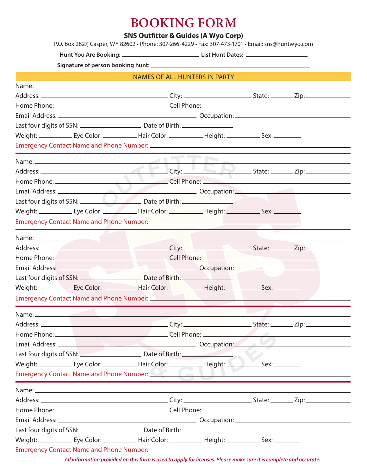## **BOOKING FORM**

## **SNS Outfitter & Guides (A Wyo Corp)**

P.O. Box 2827, Casper, WY 82602 • Phone: 307-266-4229 • Fax: 307-473-1701 • Email: sns@huntwyo.com

**Hunt You Are Booking: List Hunt Dates:** 

**Signature of person booking hunt:** 

|                                                                                                                                                                                                                                      | <b>NAMES OF ALL HUNTERS IN PARTY</b> |  |  |  |
|--------------------------------------------------------------------------------------------------------------------------------------------------------------------------------------------------------------------------------------|--------------------------------------|--|--|--|
|                                                                                                                                                                                                                                      |                                      |  |  |  |
|                                                                                                                                                                                                                                      |                                      |  |  |  |
|                                                                                                                                                                                                                                      |                                      |  |  |  |
|                                                                                                                                                                                                                                      |                                      |  |  |  |
|                                                                                                                                                                                                                                      |                                      |  |  |  |
|                                                                                                                                                                                                                                      |                                      |  |  |  |
|                                                                                                                                                                                                                                      |                                      |  |  |  |
|                                                                                                                                                                                                                                      |                                      |  |  |  |
|                                                                                                                                                                                                                                      |                                      |  |  |  |
|                                                                                                                                                                                                                                      |                                      |  |  |  |
|                                                                                                                                                                                                                                      |                                      |  |  |  |
|                                                                                                                                                                                                                                      |                                      |  |  |  |
|                                                                                                                                                                                                                                      |                                      |  |  |  |
|                                                                                                                                                                                                                                      |                                      |  |  |  |
|                                                                                                                                                                                                                                      |                                      |  |  |  |
|                                                                                                                                                                                                                                      |                                      |  |  |  |
|                                                                                                                                                                                                                                      |                                      |  |  |  |
|                                                                                                                                                                                                                                      |                                      |  |  |  |
| Last four digits of SSN: <u>New York: Date of Birth: New York: New York: New York: New York: New York: New York: New York: New York: New York: New York: New York: New York: New York: New York: New York: New York: New York: N</u> |                                      |  |  |  |
|                                                                                                                                                                                                                                      |                                      |  |  |  |
|                                                                                                                                                                                                                                      |                                      |  |  |  |
|                                                                                                                                                                                                                                      |                                      |  |  |  |
|                                                                                                                                                                                                                                      |                                      |  |  |  |
|                                                                                                                                                                                                                                      |                                      |  |  |  |
|                                                                                                                                                                                                                                      |                                      |  |  |  |
| Last four digits of SSN: Date of Birth:                                                                                                                                                                                              |                                      |  |  |  |
|                                                                                                                                                                                                                                      |                                      |  |  |  |
| Emergency Contact Name and Phone Number: <b>Department of the Contract Office And American</b>                                                                                                                                       |                                      |  |  |  |
|                                                                                                                                                                                                                                      |                                      |  |  |  |
|                                                                                                                                                                                                                                      |                                      |  |  |  |
|                                                                                                                                                                                                                                      |                                      |  |  |  |
|                                                                                                                                                                                                                                      |                                      |  |  |  |
|                                                                                                                                                                                                                                      |                                      |  |  |  |
|                                                                                                                                                                                                                                      |                                      |  |  |  |
|                                                                                                                                                                                                                                      |                                      |  |  |  |

*All information provided on this form is used to apply for licenses. Please make sure it is complete and accurate.*